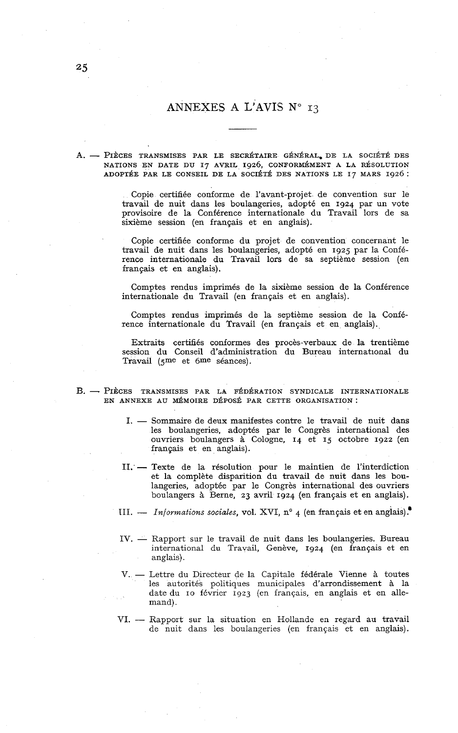## ANNEXES A L'AVIS N° 13

**A.** - PIÈCES TRANSMISES PAR LE SECRÉTAIRE GÉNÉRAL, DE LA SOCIÉTÉ DES NATIONS EN DATE DU **I7** AVRIL **1926,** CONFORMÉMENT A LA RÉSOLUTION ADOPTÉE PAR LE CONSEIL DE LA SOCIÉTÉ DES NATIONS LE **I7** MARS **1926** :

> Copie certifiée conforme de l'avant-projet de convention sur le travail de nuit dans les boulangeries, adopté en **1924** par un vote provisoire de la Conférence internationale du Travail lors de sa sixième session (en français et en anglais).

> Copie certifiée conforme du projet de convention concernant le travail de nuit dans les boulangeries, adopté en **1925** par la Conférence internationale du Travail lors de sa septième session (en français et en anglais).

> Comptes rendus imprimés de la sixième session de la Conférence internationale du Travail (en français et en anglais).

> Comptes rendus imprimés de la septième session de la Conférence internationale du Travail (en français et en anglais).

> Extraits certifiés conformes des procès-verbaux de la trentième session du Conseil d'administration du Bureau international du Travail **(gme** et 6me séances).

- B. PIÈCES TRANSMISES PAR LA FÉDÉRATION SYNDICALE INTERNATIONALE EN ANNEXE AU MÉMOIRE DÉPOSÉ PAR CETTE ORGANISATION :<br>I. — Sommaire de deux manifestes contre le travail de nuit dans
	- les boulangeries, adoptés par le Congrès international des ouvriers boulangers à Cologne, **14** et **15** octobre **1922** (en français et en anglais).
	- II. Texte de la résolution pour le maintien de l'interdiction et la complète disparition du travail de nuit dans les boulangeries, adoptée par le Congrès international des ouvriers boulangers à Berne, **23** avril **1924** (en français et en anglais).
	- III. *Informations sociales*, vol. XVI, n° 4 (en français et en anglais).<sup>•</sup>
	- IV. Rapport sur le travail de nuit dans les boulangeries. Bureau international du Travail, Genève, **1924** (en français et en anglais).
	- V. Lettre du Directeur de la Capitale fédérale Vienne à toutes les autorités politiques municipales d'arrondissement à la date du IO février **1923** (en francais, en anglais et en allemand).
	- VI. Rapport sur la situation en Hollande en regard au travail de nuit dans les boulangeries (en francais et en anglais).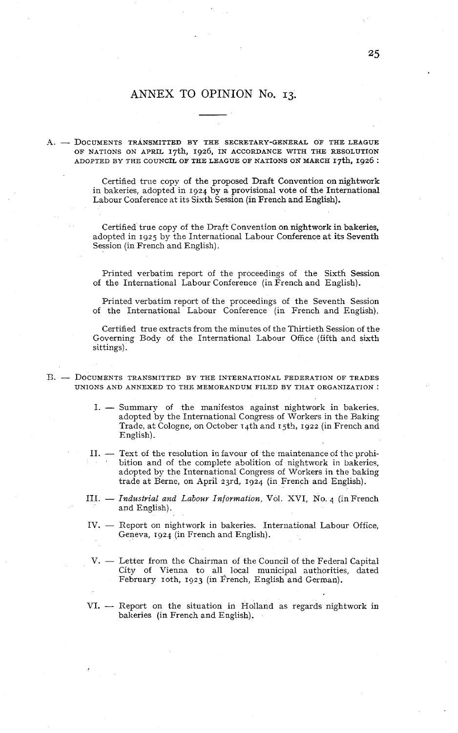## ANNEX TO OPINION No. 13.

## A. - DOCUMENTS TRANSMITTED BY THE SECRETARY-GENERAL OF THE LEAGUE OF NATIONS ON APRIL 17th, 1926, IN ACCORDANCE WITH THE RESOLUTION ADOPTED BY THE COUNCIL OF THE LEAGUE OF NATIONS ON MARCH 17th, 1926 :

Certified true copy of the proposed Draft Convention on nightwork in bakeries, adopted in 1924 by a provisional vote of the International Labour Conference at its Sixth Session (in French and English).

Certified true copy of the Draft Convention on nightwork in bakeries, adopted in 1925 by the International Labour Conference at its Seventh Session (in French and English).

Printed verbatim report of the proceedings of the Sixth Session of the International Labour Conference (in French and English).

Printed verbatim report of the proceedings of the Seventh Session of the International Labour Conference (in French and English).

Certified true extracts from the minutes of the Thirtieth Session of the Governinç Body of the Internstional Labour Office (fifth and sixth sittings).

- $B. -$  Documents transmitted by the international federation of trades UNIONS AND ANNEXED TO TH& MEMORANDUM FILED BY THAT ORGANIZATION :
	- 1. Summary of the manifestos against nightwork in bakeries. adopted by the International Congress of Workers in the Raking Trade, at Cologne, on October 14th and **I** jth, 1922 (in French and English) .
	- II.  $-$  Text of the resolution in favour of the maintenance of the prohibition and of the complete abolition of nightwork in bakeries, adopted by the International Congress of Workers in the baking trade at Berne, on April 23rd, 1924 (in French and English).
	- III. *Industrial and Labour Information*, Vol. XVI, No. 4 (in French and English).
	- IV. Report on nightwork in bakeries. International Labour Office, Geneva, 1924 (in French and English).
	- V. Letter from the Chairman of the Council of the Federal Capital City of Vienna to all. local municipal authorities, dated February 10th, 1923 (in French, English and German).
	- $VI. -$  Report on the situation in Holland as regards nightwork in bakeries (in French and English).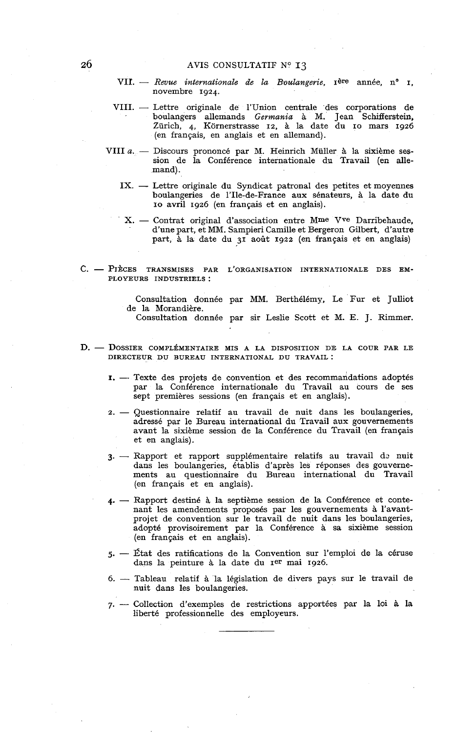- AVIS CONSULTATIF N° 13<br>VII. *Revue internationale de la Boulangerie*, 1<sup>ère</sup> année, n° 1, novembre 1924.
- VII. Returnationale de la Doutangerte, 1988 année, n. 1,<br>
novembre 1924.<br>
VIII. Lettre originale de l'Union centrale des corporations de boulangers allemands *Germania* à M. Jean Schifferstein, Zürich, 4, Kornerstrasse 12, à la date du IO mars 1926 (en français, en anglais et en allemand).
- VIII *a.* Discours prononcé par M. Heinrich Müller à la sixième ses-<br>sion de la Conférence internationale du Travail (en allemand).
	- IX. Lettre originale du Syndicat patronal des petites et moyennes boulangeries de 1'Ile-de-France aux sénateurs, à la date du IO avril 1926 (en français et en anglais).
		- X. Contrat original d'association entre Mme Vve Darribehaude, d'une part, et MM. Sampieri Camille et Bergeron Gilbert, d'autre part, à la date du 31 août 1922 (en français et en anglais)
- C. PIÈCES TRANSMISES PAR L'ORGANISATION INTERNATIONALE DES EM-PLOYEURS INDUSTRIELS :

Consultation donnée par MM. Berthélémy, Le Fur et Julliot de la Morandière. Consultation donnée par sir Leslie Scott et M. E. J. Rimmer.

- D. DOSSIER COMPLÉMENTAIRE MIS A LA DISPOSITION DE LA COUR PAR LE DIRECTEUR DU BUREAU INTERNATIONAL DU TRAVAIL :
	- I. -- Texte des projets de convention et des recommandations adoptés par la Conférence internationale du Travail au cours de ses sept premières sessions (en français et en anglais).
	- 2. Questionnaire relatif au travail de nuit dans les boulangeries, adressé par le Bureau international du Travail aux gouvernements avant la sixième session de la Conférence du Travail (en français et en anglais).
	- 3. Rapport et rapport supplémentaire relatifs au travail de nuit dans les boulangeries, établis d'après les réponses des gouvernements au questionnaire du Bureau international du Travail (en français et en anglais).
	- 4. Rapport destiné à la septième session de la Conférence et contenant les amendements proposés par les gouvernements à l'avantprojet de convention sur le travail de nuit dans les boulangeries, adopté provisoirement par la Conférence à sa sixième session (en français et en anglais).
	- 5. État des ratifications de la Convention sur l'emploi de la céruse dans la peinture à la date du rer mai 1926.
	- *6.*  Tableau relatif à la législation de divers pays sur le travail de nuit dans les boulangeries.
	- 7. Collection d'exemples de restrictions apportées par la loi à la liberté professionnelle des employeurs.